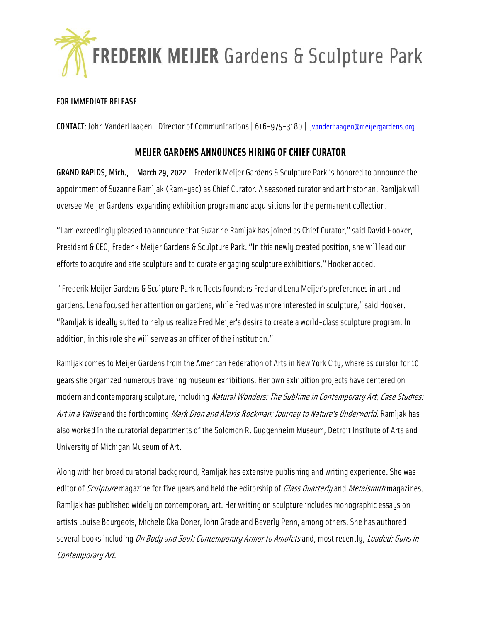

## FOR IMMEDIATE RELEASE

CONTACT: John VanderHaagen | Director of Communications | 616-975-3180 | [jvanderhaagen@meijergardens.org](mailto:jvanderhaagen@meijergardens.org)

## **MEIJER GARDENS ANNOUNCES HIRING OF CHIEF CURATOR**

GRAND RAPIDS, Mich., — March 29, 2022 — Frederik Meijer Gardens & Sculpture Park is honored to announce the appointment of Suzanne Ramljak (Ram-yac) as Chief Curator. A seasoned curator and art historian, Ramljak will oversee Meijer Gardens' expanding exhibition program and acquisitions for the permanent collection.

"I am exceedingly pleased to announce that Suzanne Ramljak has joined as Chief Curator," said David Hooker, President & CEO, Frederik Meijer Gardens & Sculpture Park. "In this newly created position, she will lead our efforts to acquire and site sculpture and to curate engaging sculpture exhibitions," Hooker added.

"Frederik Meijer Gardens & Sculpture Park reflects founders Fred and Lena Meijer's preferences in art and gardens. Lena focused her attention on gardens, while Fred was more interested in sculpture," said Hooker. "Ramljak is ideally suited to help us realize Fred Meijer's desire to create a world-class sculpture program. In addition, in this role she will serve as an officer of the institution."

Ramljak comes to Meijer Gardens from the American Federation of Arts in New York City, where as curator for 10 years she organized numerous traveling museum exhibitions. Her own exhibition projects have centered on modern and contemporary sculpture, including Natural Wonders: The Sublime in Contemporary Art, Case Studies: Art in a Valise and the forthcoming Mark Dion and Alexis Rockman: Journey to Nature's Underworld. Ramljak has also worked in the curatorial departments of the Solomon R. Guggenheim Museum, Detroit Institute of Arts and University of Michigan Museum of Art.

Along with her broad curatorial background, Ramljak has extensive publishing and writing experience. She was editor of *Sculpture* magazine for five years and held the editorship of *Glass Quarterly* and *Metalsmith* magazines. Ramljak has published widely on contemporary art. Her writing on sculpture includes monographic essays on artists Louise Bourgeois, Michele Oka Doner, John Grade and Beverly Penn, among others. She has authored several books including On Body and Soul: Contemporary Armor to Amulets and, most recently, Loaded: Guns in Contemporary Art.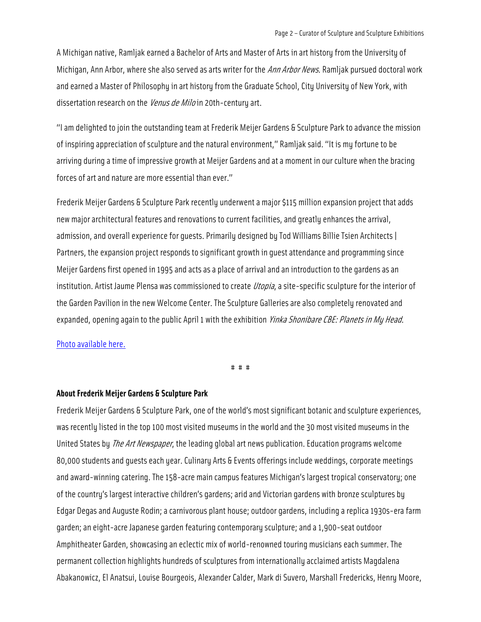A Michigan native, Ramljak earned a Bachelor of Arts and Master of Arts in art history from the University of Michigan, Ann Arbor, where she also served as arts writer for the Ann Arbor News. Ramljak pursued doctoral work and earned a Master of Philosophy in art history from the Graduate School, City University of New York, with dissertation research on the *Venus de Milo* in 20th-century art.

"I am delighted to join the outstanding team at Frederik Meijer Gardens & Sculpture Park to advance the mission of inspiring appreciation of sculpture and the natural environment," Ramljak said. "It is my fortune to be arriving during a time of impressive growth at Meijer Gardens and at a moment in our culture when the bracing forces of art and nature are more essential than ever."

Frederik Meijer Gardens & Sculpture Park recently underwent a major \$115 million expansion project that adds new major architectural features and renovations to current facilities, and greatly enhances the arrival, admission, and overall experience for guests. Primarily designed by Tod Williams Billie Tsien Architects | Partners, the expansion project responds to significant growth in guest attendance and programming since Meijer Gardens first opened in 1995 and acts as a place of arrival and an introduction to the gardens as an institution. Artist Jaume Plensa was commissioned to create *Utopia*, a site-specific sculpture for the interior of the Garden Pavilion in the new Welcome Center. The Sculpture Galleries are also completely renovated and expanded, opening again to the public April 1 with the exhibition *Yinka Shonibare CBE: Planets in My Head*.

## [Photo available here.](https://www.meijergardens.org/storage/images/Suzanne_Ramljak_2022.jpg)

# # #

## **About Frederik Meijer Gardens & Sculpture Park**

Frederik Meijer Gardens & Sculpture Park, one of the world's most significant botanic and sculpture experiences, was recently listed in the top 100 most visited museums in the world and the 30 most visited museums in the United States by *The Art Newspaper*, the leading global art news publication. Education programs welcome 80,000 students and guests each year. Culinary Arts & Events offerings include weddings, corporate meetings and award-winning catering. The 158-acre main campus features Michigan's largest tropical conservatory; one of the country's largest interactive children's gardens; arid and Victorian gardens with bronze sculptures by Edgar Degas and Auguste Rodin; a carnivorous plant house; outdoor gardens, including a replica 1930s-era farm garden; an eight-acre Japanese garden featuring contemporary sculpture; and a 1,900-seat outdoor Amphitheater Garden, showcasing an eclectic mix of world-renowned touring musicians each summer. The permanent collection highlights hundreds of sculptures from internationally acclaimed artists Magdalena Abakanowicz, El Anatsui, Louise Bourgeois, Alexander Calder, Mark di Suvero, Marshall Fredericks, Henry Moore,